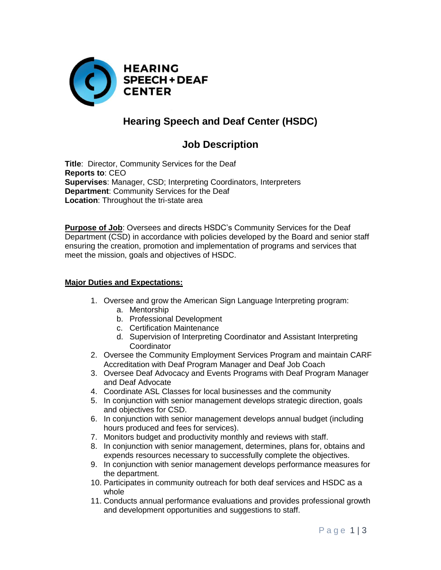

# **Hearing Speech and Deaf Center (HSDC)**

## **Job Description**

**Title**:Director, Community Services for the Deaf **Reports to**: CEO **Supervises**: Manager, CSD; Interpreting Coordinators, Interpreters **Department**: Community Services for the Deaf **Location**: Throughout the tri-state area

**Purpose of Job**: Oversees and directs HSDC's Community Services for the Deaf Department (CSD) in accordance with policies developed by the Board and senior staff ensuring the creation, promotion and implementation of programs and services that meet the mission, goals and objectives of HSDC.

#### **Major Duties and Expectations:**

- 1. Oversee and grow the American Sign Language Interpreting program:
	- a. Mentorship
	- b. Professional Development
	- c. Certification Maintenance
	- d. Supervision of Interpreting Coordinator and Assistant Interpreting **Coordinator**
- 2. Oversee the Community Employment Services Program and maintain CARF Accreditation with Deaf Program Manager and Deaf Job Coach
- 3. Oversee Deaf Advocacy and Events Programs with Deaf Program Manager and Deaf Advocate
- 4. Coordinate ASL Classes for local businesses and the community
- 5. In conjunction with senior management develops strategic direction, goals and objectives for CSD.
- 6. In conjunction with senior management develops annual budget (including hours produced and fees for services).
- 7. Monitors budget and productivity monthly and reviews with staff.
- 8. In conjunction with senior management, determines, plans for, obtains and expends resources necessary to successfully complete the objectives.
- 9. In conjunction with senior management develops performance measures for the department.
- 10. Participates in community outreach for both deaf services and HSDC as a whole
- 11. Conducts annual performance evaluations and provides professional growth and development opportunities and suggestions to staff.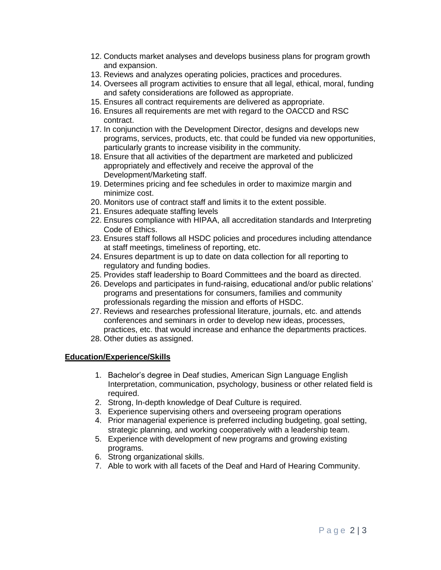- 12. Conducts market analyses and develops business plans for program growth and expansion.
- 13. Reviews and analyzes operating policies, practices and procedures.
- 14. Oversees all program activities to ensure that all legal, ethical, moral, funding and safety considerations are followed as appropriate.
- 15. Ensures all contract requirements are delivered as appropriate.
- 16. Ensures all requirements are met with regard to the OACCD and RSC contract.
- 17. In conjunction with the Development Director, designs and develops new programs, services, products, etc. that could be funded via new opportunities, particularly grants to increase visibility in the community.
- 18. Ensure that all activities of the department are marketed and publicized appropriately and effectively and receive the approval of the Development/Marketing staff.
- 19. Determines pricing and fee schedules in order to maximize margin and minimize cost.
- 20. Monitors use of contract staff and limits it to the extent possible.
- 21. Ensures adequate staffing levels
- 22. Ensures compliance with HIPAA, all accreditation standards and Interpreting Code of Ethics.
- 23. Ensures staff follows all HSDC policies and procedures including attendance at staff meetings, timeliness of reporting, etc.
- 24. Ensures department is up to date on data collection for all reporting to regulatory and funding bodies.
- 25. Provides staff leadership to Board Committees and the board as directed.
- 26. Develops and participates in fund-raising, educational and/or public relations' programs and presentations for consumers, families and community professionals regarding the mission and efforts of HSDC.
- 27. Reviews and researches professional literature, journals, etc. and attends conferences and seminars in order to develop new ideas, processes, practices, etc. that would increase and enhance the departments practices.
- 28. Other duties as assigned.

### **Education/Experience/Skills**

- 1. Bachelor's degree in Deaf studies, American Sign Language English Interpretation, communication, psychology, business or other related field is required.
- 2. Strong, In-depth knowledge of Deaf Culture is required.
- 3. Experience supervising others and overseeing program operations
- 4. Prior managerial experience is preferred including budgeting, goal setting, strategic planning, and working cooperatively with a leadership team.
- 5. Experience with development of new programs and growing existing programs.
- 6. Strong organizational skills.
- 7. Able to work with all facets of the Deaf and Hard of Hearing Community.